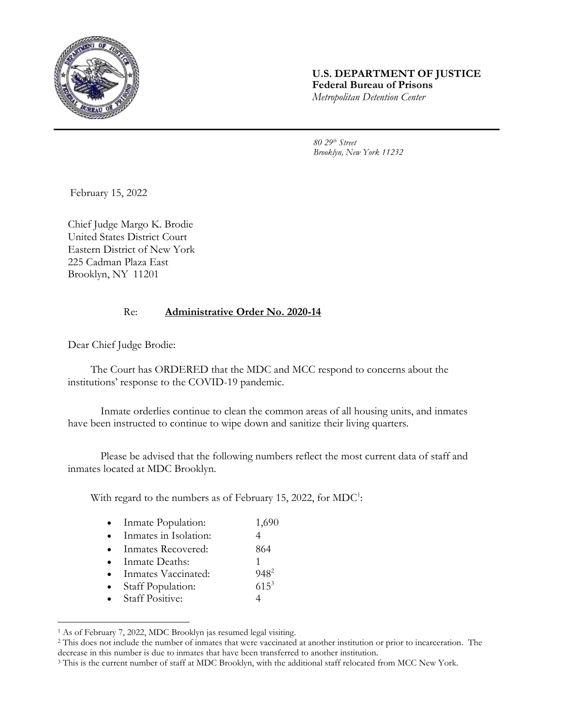

## **U.S. DEPARTMENT OF JUSTICE Federal Bureau of Prisons** *Metropolitan Detention Center*

*80 29th Street Brooklyn, New York 11232*

February 15, 2022

Chief Judge Margo K. Brodie United States District Court Eastern District of New York 225 Cadman Plaza East Brooklyn, NY 11201

## Re: **Administrative Order No. 2020-14**

Dear Chief Judge Brodie:

The Court has ORDERED that the MDC and MCC respond to concerns about the institutions' response to the COVID-19 pandemic.

Inmate orderlies continue to clean the common areas of all housing units, and inmates have been instructed to continue to wipe down and sanitize their living quarters.

Please be advised that the following numbers reflect the most current data of staff and inmates located at MDC Brooklyn.

With regard to the numbers as of February 15, 2022, for  $MDC<sup>1</sup>$ :

| Inmate Population: | 1,690 |
|--------------------|-------|
|                    |       |

- Inmates in Isolation: 4
- Inmates Recovered: 864
- Inmate Deaths: 1
- Inmates Vaccinated: 948<sup>2</sup>
- Staff Population: 615<sup>3</sup>
- Staff Positive: 4

l

<sup>1</sup> As of February 7, 2022, MDC Brooklyn jas resumed legal visiting.

<sup>2</sup> This does not include the number of inmates that were vaccinated at another institution or prior to incarceration. The decrease in this number is due to inmates that have been transferred to another institution.

<sup>&</sup>lt;sup>3</sup> This is the current number of staff at MDC Brooklyn, with the additional staff relocated from MCC New York.